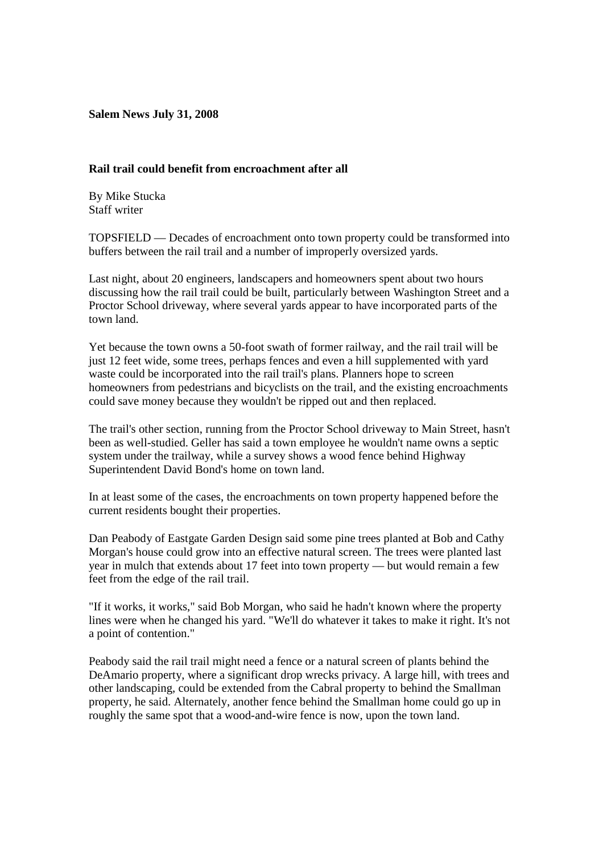**Salem News July 31, 2008**

## **Rail trail could benefit from encroachment after all**

By Mike Stucka Staff writer

TOPSFIELD — Decades of encroachment onto town property could be transformed into buffers between the rail trail and a number of improperly oversized yards.

Last night, about 20 engineers, landscapers and homeowners spent about two hours discussing how the rail trail could be built, particularly between Washington Street and a Proctor School driveway, where several yards appear to have incorporated parts of the town land.

Yet because the town owns a 50-foot swath of former railway, and the rail trail will be just 12 feet wide, some trees, perhaps fences and even a hill supplemented with yard waste could be incorporated into the rail trail's plans. Planners hope to screen homeowners from pedestrians and bicyclists on the trail, and the existing encroachments could save money because they wouldn't be ripped out and then replaced.

The trail's other section, running from the Proctor School driveway to Main Street, hasn't been as well-studied. Geller has said a town employee he wouldn't name owns a septic system under the trailway, while a survey shows a wood fence behind Highway Superintendent David Bond's home on town land.

In at least some of the cases, the encroachments on town property happened before the current residents bought their properties.

Dan Peabody of Eastgate Garden Design said some pine trees planted at Bob and Cathy Morgan's house could grow into an effective natural screen. The trees were planted last year in mulch that extends about 17 feet into town property — but would remain a few feet from the edge of the rail trail.

"If it works, it works," said Bob Morgan, who said he hadn't known where the property lines were when he changed his yard. "We'll do whatever it takes to make it right. It's not a point of contention."

Peabody said the rail trail might need a fence or a natural screen of plants behind the DeAmario property, where a significant drop wrecks privacy. A large hill, with trees and other landscaping, could be extended from the Cabral property to behind the Smallman property, he said. Alternately, another fence behind the Smallman home could go up in roughly the same spot that a wood-and-wire fence is now, upon the town land.